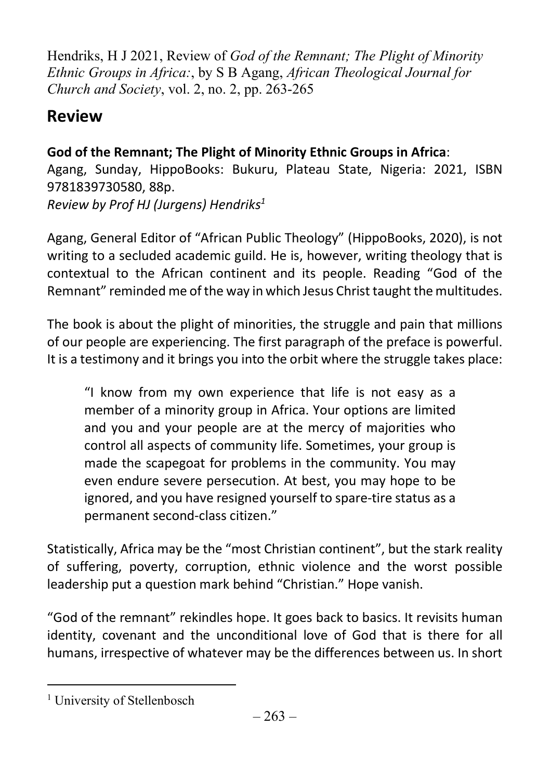Hendriks, H J 2021, Review of God of the Remnant; The Plight of Minority Ethnic Groups in Africa:, by S B Agang, African Theological Journal for Church and Society, vol. 2, no. 2, pp. 263-265

## Review

God of the Remnant; The Plight of Minority Ethnic Groups in Africa: Agang, Sunday, HippoBooks: Bukuru, Plateau State, Nigeria: 2021, ISBN 9781839730580, 88p. Review by Prof HJ (Jurgens) Hendriks<sup>1</sup>

Agang, General Editor of "African Public Theology" (HippoBooks, 2020), is not writing to a secluded academic guild. He is, however, writing theology that is contextual to the African continent and its people. Reading "God of the Remnant" reminded me of the way in which Jesus Christ taught the multitudes.

The book is about the plight of minorities, the struggle and pain that millions of our people are experiencing. The first paragraph of the preface is powerful. It is a testimony and it brings you into the orbit where the struggle takes place:

"I know from my own experience that life is not easy as a member of a minority group in Africa. Your options are limited and you and your people are at the mercy of majorities who control all aspects of community life. Sometimes, your group is made the scapegoat for problems in the community. You may even endure severe persecution. At best, you may hope to be ignored, and you have resigned yourself to spare-tire status as a permanent second-class citizen."

Statistically, Africa may be the "most Christian continent", but the stark reality of suffering, poverty, corruption, ethnic violence and the worst possible leadership put a question mark behind "Christian." Hope vanish.

"God of the remnant" rekindles hope. It goes back to basics. It revisits human identity, covenant and the unconditional love of God that is there for all humans, irrespective of whatever may be the differences between us. In short

<sup>&</sup>lt;sup>1</sup> University of Stellenbosch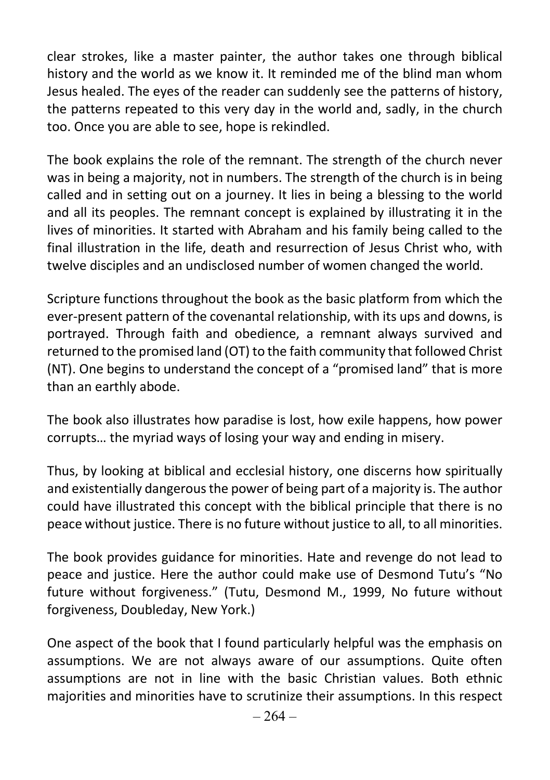clear strokes, like a master painter, the author takes one through biblical history and the world as we know it. It reminded me of the blind man whom Jesus healed. The eyes of the reader can suddenly see the patterns of history, the patterns repeated to this very day in the world and, sadly, in the church too. Once you are able to see, hope is rekindled.

The book explains the role of the remnant. The strength of the church never was in being a majority, not in numbers. The strength of the church is in being called and in setting out on a journey. It lies in being a blessing to the world and all its peoples. The remnant concept is explained by illustrating it in the lives of minorities. It started with Abraham and his family being called to the final illustration in the life, death and resurrection of Jesus Christ who, with twelve disciples and an undisclosed number of women changed the world.

Scripture functions throughout the book as the basic platform from which the ever-present pattern of the covenantal relationship, with its ups and downs, is portrayed. Through faith and obedience, a remnant always survived and returned to the promised land (OT) to the faith community that followed Christ (NT). One begins to understand the concept of a "promised land" that is more than an earthly abode.

The book also illustrates how paradise is lost, how exile happens, how power corrupts… the myriad ways of losing your way and ending in misery.

Thus, by looking at biblical and ecclesial history, one discerns how spiritually and existentially dangerous the power of being part of a majority is. The author could have illustrated this concept with the biblical principle that there is no peace without justice. There is no future without justice to all, to all minorities.

The book provides guidance for minorities. Hate and revenge do not lead to peace and justice. Here the author could make use of Desmond Tutu's "No future without forgiveness." (Tutu, Desmond M., 1999, No future without forgiveness, Doubleday, New York.)

One aspect of the book that I found particularly helpful was the emphasis on assumptions. We are not always aware of our assumptions. Quite often assumptions are not in line with the basic Christian values. Both ethnic majorities and minorities have to scrutinize their assumptions. In this respect